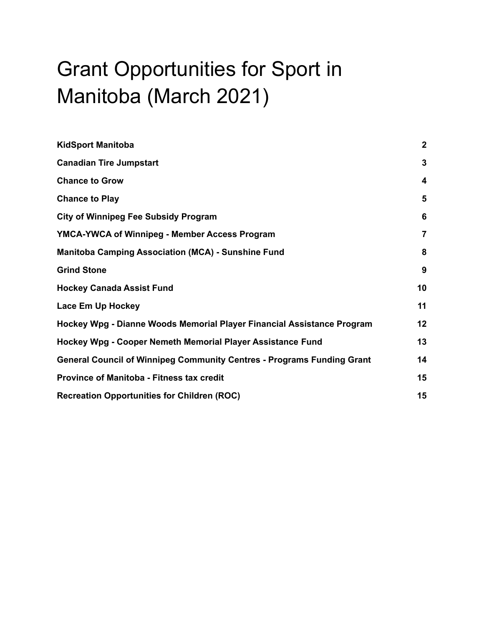# Grant Opportunities for Sport in Manitoba (March 2021)

| <b>KidSport Manitoba</b>                                                      | $\overline{2}$ |
|-------------------------------------------------------------------------------|----------------|
| <b>Canadian Tire Jumpstart</b>                                                | $\mathbf{3}$   |
| <b>Chance to Grow</b>                                                         | 4              |
| <b>Chance to Play</b>                                                         | 5              |
| <b>City of Winnipeg Fee Subsidy Program</b>                                   | 6              |
| YMCA-YWCA of Winnipeg - Member Access Program                                 | $\overline{7}$ |
| <b>Manitoba Camping Association (MCA) - Sunshine Fund</b>                     | 8              |
| <b>Grind Stone</b>                                                            | 9              |
| <b>Hockey Canada Assist Fund</b>                                              | 10             |
| Lace Em Up Hockey                                                             | 11             |
| Hockey Wpg - Dianne Woods Memorial Player Financial Assistance Program        | 12             |
| Hockey Wpg - Cooper Nemeth Memorial Player Assistance Fund                    | 13             |
| <b>General Council of Winnipeg Community Centres - Programs Funding Grant</b> | 14             |
| <b>Province of Manitoba - Fitness tax credit</b>                              | 15             |
| <b>Recreation Opportunities for Children (ROC)</b>                            | 15             |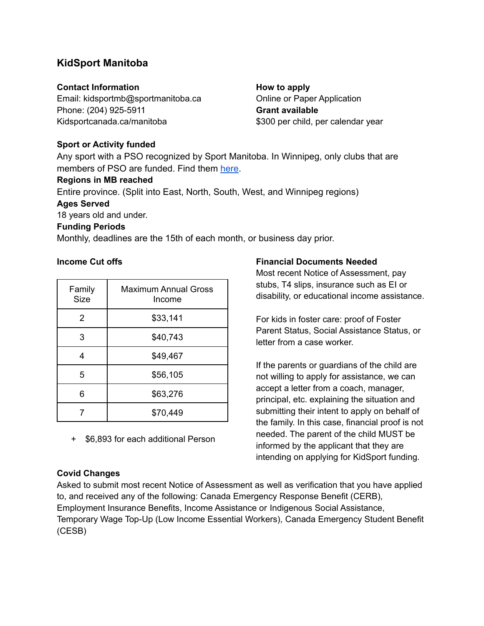# <span id="page-1-0"></span>**KidSport Manitoba**

### **Contact Information**

Email: kidsportmb@sportmanitoba.ca Phone: (204) 925-5911 Kidsportcanada.ca/manitoba

**How to apply** Online or Paper Application **Grant available** \$300 per child, per calendar year

### **Sport or Activity funded**

Any sport with a PSO recognized by Sport Manitoba. In Winnipeg, only clubs that are members of PSO are funded. Find them [here](https://www.sportmanitoba.ca/partners/).

### **Regions in MB reached**

Entire province. (Split into East, North, South, West, and Winnipeg regions)

### **Ages Served**

18 years old and under.

### **Funding Periods**

Monthly, deadlines are the 15th of each month, or business day prior.

### **Income Cut offs**

| Family<br><b>Size</b> | <b>Maximum Annual Gross</b><br>Income |
|-----------------------|---------------------------------------|
| 2                     | \$33,141                              |
| 3                     | \$40,743                              |
| Δ                     | \$49,467                              |
| 5                     | \$56,105                              |
| 6                     | \$63,276                              |
|                       | \$70,449                              |

+ \$6,893 for each additional Person

### **Covid Changes**

Asked to submit most recent Notice of Assessment as well as verification that you have applied to, and received any of the following: Canada Emergency Response Benefit (CERB), Employment Insurance Benefits, Income Assistance or Indigenous Social Assistance, Temporary Wage Top-Up (Low Income Essential Workers), Canada Emergency Student Benefit (CESB)

### **Financial Documents Needed**

Most recent Notice of Assessment, pay stubs, T4 slips, insurance such as EI or disability, or educational income assistance.

For kids in foster care: proof of Foster Parent Status, Social Assistance Status, or letter from a case worker.

If the parents or guardians of the child are not willing to apply for assistance, we can accept a letter from a coach, manager, principal, etc. explaining the situation and submitting their intent to apply on behalf of the family. In this case, financial proof is not needed. The parent of the child MUST be informed by the applicant that they are intending on applying for KidSport funding.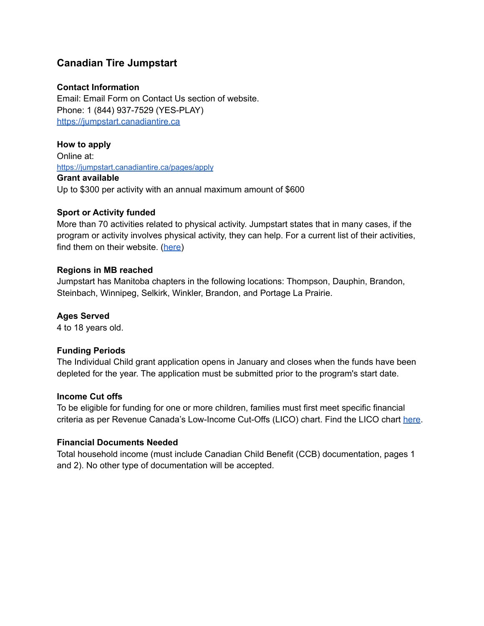# <span id="page-2-0"></span>**Canadian Tire Jumpstart**

### **Contact Information**

Email: Email Form on Contact Us section of website. Phone: 1 (844) 937-7529 (YES-PLAY) <https://jumpstart.canadiantire.ca>

**How to apply** Online at: <https://jumpstart.canadiantire.ca/pages/apply> **Grant available** Up to \$300 per activity with an annual maximum amount of \$600

### **Sport or Activity funded**

More than 70 activities related to physical activity. Jumpstart states that in many cases, if the program or activity involves physical activity, they can help. For a current list of their activities, find them on their [website.](https://jumpstart.canadiantire.ca/pages/sports-and-activities-covered) (here)

### **Regions in MB reached**

Jumpstart has Manitoba chapters in the following locations: Thompson, Dauphin, Brandon, Steinbach, Winnipeg, Selkirk, Winkler, Brandon, and Portage La Prairie.

### **Ages Served**

4 to 18 years old.

### **Funding Periods**

The Individual Child grant application opens in January and closes when the funds have been depleted for the year. The application must be submitted prior to the program's start date.

### **Income Cut offs**

To be eligible for funding for one or more children, families must first meet specific financial criteria as per Revenue Canada's Low-Income Cut-Offs (LICO) chart. Find the LICO chart [he](https://cdn.shopify.com/s/files/1/0122/8124/9892/files/LICO_AfterTax_2020.pdf?v=1614633387)re.

### **Financial Documents Needed**

Total household income (must include Canadian Child Benefit (CCB) documentation, pages 1 and 2). No other type of documentation will be accepted.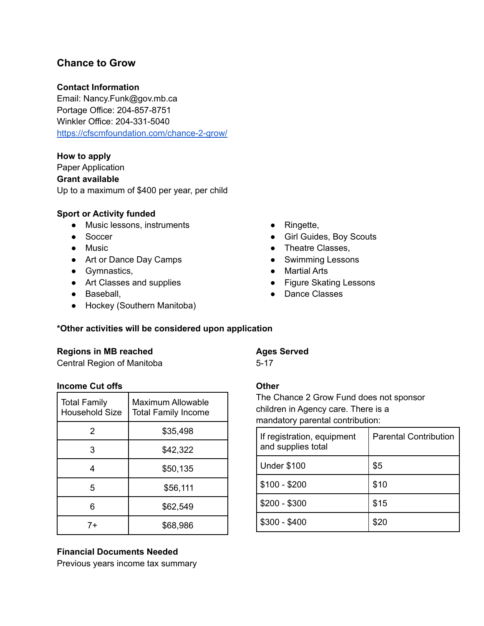# <span id="page-3-0"></span>**Chance to Grow**

### **Contact Information**

Email: Nancy.Funk@gov.mb.ca Portage Office: 204-857-8751 Winkler Office: 204-331-5040 <https://cfscmfoundation.com/chance-2-grow/>

### **How to apply**

Paper Application **Grant available** Up to a maximum of \$400 per year, per child

### **Sport or Activity funded**

- Music lessons, instruments
- Soccer
- Music
- Art or Dance Day Camps
- Gymnastics,
- Art Classes and supplies
- Baseball,
- Hockey (Southern Manitoba)
- Ringette,
- Girl Guides, Boy Scouts
- Theatre Classes,
- Swimming Lessons
- Martial Arts
- Figure Skating Lessons
- Dance Classes

### **\*Other activities will be considered upon application**

### **Regions in MB reached**

Central Region of Manitoba

### **Income Cut offs**

| <b>Total Family</b><br><b>Household Size</b> | Maximum Allowable<br><b>Total Family Income</b> |
|----------------------------------------------|-------------------------------------------------|
| 2                                            | \$35,498                                        |
| 3                                            | \$42,322                                        |
|                                              | \$50,135                                        |
| 5                                            | \$56,111                                        |
|                                              | \$62,549                                        |
| 7+                                           | \$68,986                                        |

### **Financial Documents Needed**

Previous years income tax summary

### **Ages Served**

5-17

### **Other**

The Chance 2 Grow Fund does not sponsor children in Agency care. There is a mandatory parental contribution:

| If registration, equipment<br>and supplies total | <b>Parental Contribution</b> |
|--------------------------------------------------|------------------------------|
| <b>Under \$100</b>                               | \$5                          |
| $$100 - $200$                                    | \$10                         |
| $$200 - $300$                                    | \$15                         |
| $$300 - $400$                                    | \$20                         |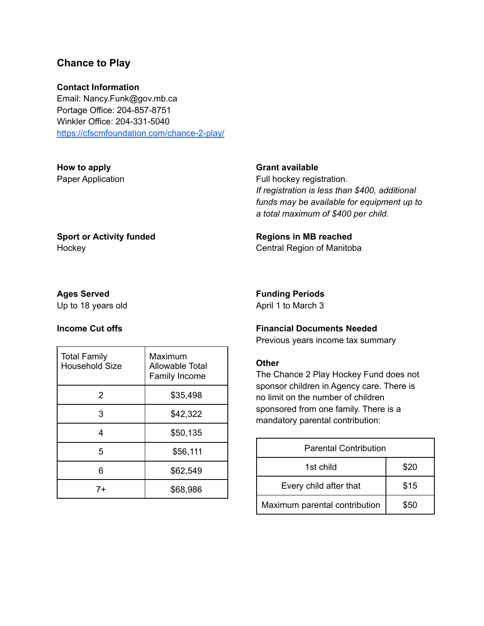## <span id="page-4-0"></span>**Chance to Play**

### **Contact Information**

Email: Nancy.Funk@gov.mb.ca Portage Office: 204-857-8751 Winkler Office: 204-331-5040 <https://cfscmfoundation.com/chance-2-play/>

### **How to apply** Paper Application

#### **Grant available**

Full hockey registration. *If registration is less than \$400, additional funds may be available for equipment up to a total maximum of \$400 per child.*

### **Sport or Activity funded Hockey**

### **Funding Periods**

**Regions in MB reached** Central Region of Manitoba

April 1 to March 3

### **Income Cut offs**

**Ages Served** Up to 18 years old

| <b>Total Family</b><br><b>Household Size</b> | Maximum<br>Allowable Total<br>Family Income |
|----------------------------------------------|---------------------------------------------|
| 2                                            | \$35,498                                    |
| 3                                            | \$42,322                                    |
|                                              | \$50,135                                    |
| 5                                            | \$56,111                                    |
| հ                                            | \$62,549                                    |
| 7+                                           | \$68,986                                    |

### **Financial Documents Needed**

Previous years income tax summary

#### **Other**

The Chance 2 Play Hockey Fund does not sponsor children in Agency care. There is no limit on the number of children sponsored from one family. There is a mandatory parental contribution:

| <b>Parental Contribution</b>  |      |  |
|-------------------------------|------|--|
| 1st child                     | \$20 |  |
| Every child after that        | \$15 |  |
| Maximum parental contribution | \$50 |  |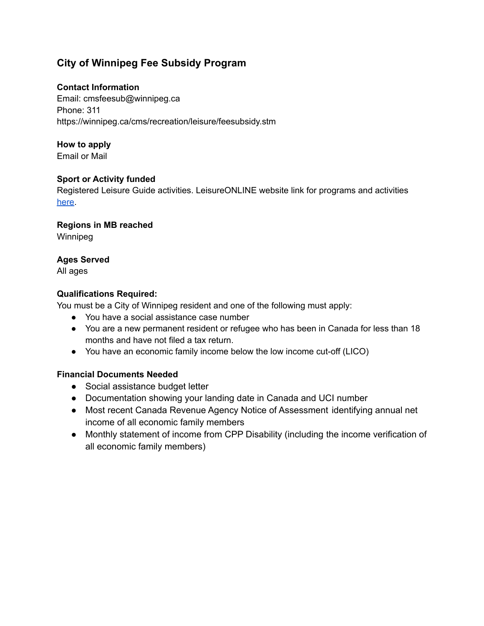# <span id="page-5-0"></span>**City of Winnipeg Fee Subsidy Program**

### **Contact Information**

Email: cmsfeesub@winnipeg.ca Phone: 311 https://winnipeg.ca/cms/recreation/leisure/feesubsidy.stm

# **How to apply**

Email or Mail

### **Sport or Activity funded**

Registered Leisure Guide activities. LeisureONLINE website link for programs and activiti[es](https://ca.apm.activecommunities.com/leisureonline/Home) [he](https://ca.apm.activecommunities.com/leisureonline/Home)re.

### **Regions in MB reached**

Winnipeg

### **Ages Served**

All ages

### **Qualifications Required:**

You must be a City of Winnipeg resident and one of the following must apply:

- You have a social assistance case number
- You are a new permanent resident or refugee who has been in Canada for less than 18 months and have not filed a tax return.
- You have an economic family income below the low income cut-off (LICO)

## **Financial Documents Needed**

- Social assistance budget letter
- Documentation showing your landing date in Canada and UCI number
- Most recent Canada Revenue Agency Notice of Assessment identifying annual net income of all economic family members
- Monthly statement of income from CPP Disability (including the income verification of all economic family members)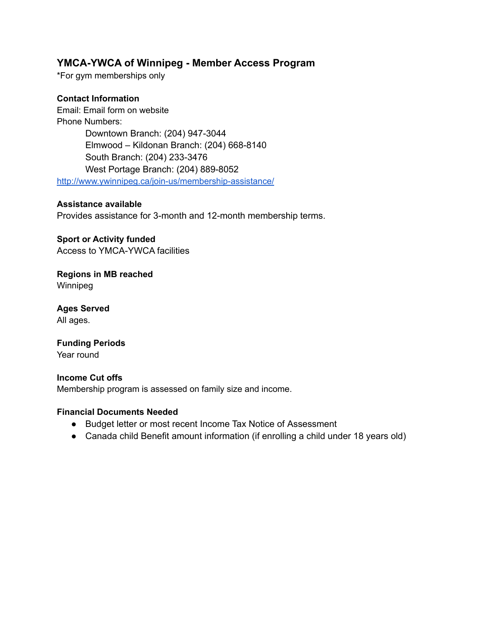# <span id="page-6-0"></span>**YMCA-YWCA of Winnipeg - Member Access Program**

\*For gym memberships only

### **Contact Information**

Email: Email form on website Phone Numbers: Downtown Branch: (204) 947-3044 Elmwood – Kildonan Branch: (204) 668-8140 South Branch: (204) 233-3476 West Portage Branch: (204) 889-8052 <http://www.ywinnipeg.ca/join-us/membership-assistance/>

### **Assistance available**

Provides assistance for 3-month and 12-month membership terms.

**Sport or Activity funded** Access to YMCA-YWCA facilities

**Regions in MB reached** Winnipeg

**Ages Served** All ages.

**Funding Periods** Year round

# **Income Cut offs**

Membership program is assessed on family size and income.

### **Financial Documents Needed**

- Budget letter or most recent Income Tax Notice of Assessment
- Canada child Benefit amount information (if enrolling a child under 18 years old)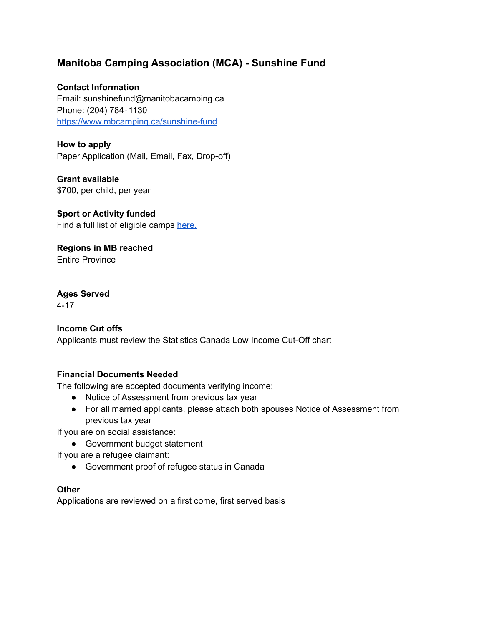# <span id="page-7-0"></span>**Manitoba Camping Association (MCA) - Sunshine Fund**

### **Contact Information**

Email: sunshinefund@manitobacamping.ca Phone: (204) 784‐1130 <https://www.mbcamping.ca/sunshine-fund>

**How to apply** Paper Application (Mail, Email, Fax, Drop-off)

**Grant available** \$700, per child, per year

**Sport or Activity funded** Find a full list of eligible camps [here.](http://www.mbcamping.ca./)

**Regions in MB reached** Entire Province

# **Ages Served**

4-17

### **Income Cut offs**

Applicants must review the Statistics Canada Low Income Cut-Off chart

### **Financial Documents Needed**

The following are accepted documents verifying income:

- Notice of Assessment from previous tax year
- For all married applicants, please attach both spouses Notice of Assessment from previous tax year

If you are on social assistance:

● Government budget statement

If you are a refugee claimant:

● Government proof of refugee status in Canada

### **Other**

Applications are reviewed on a first come, first served basis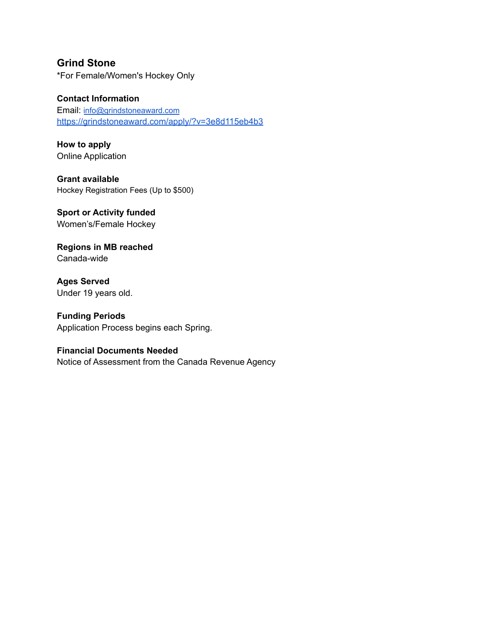# <span id="page-8-0"></span>**Grind Stone**

\*For Female/Women's Hockey Only

### **Contact Information**

Email: [info@grindstoneaward.com](mailto:info@grindstoneaward.com) <https://grindstoneaward.com/apply/?v=3e8d115eb4b3>

**How to apply** Online Application

**Grant available** Hockey Registration Fees (Up to \$500)

**Sport or Activity funded** Women's/Female Hockey

**Regions in MB reached** Canada-wide

**Ages Served** Under 19 years old.

**Funding Periods** Application Process begins each Spring.

### **Financial Documents Needed**

Notice of Assessment from the Canada Revenue Agency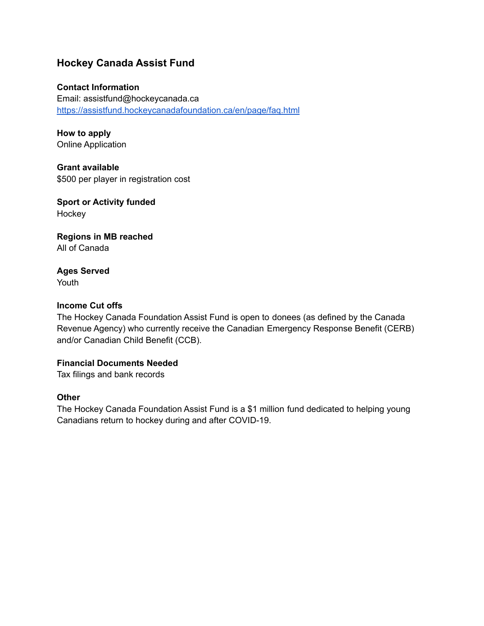# <span id="page-9-0"></span>**Hockey Canada Assist Fund**

### **Contact Information**

Email: assistfund@hockeycanada.ca <https://assistfund.hockeycanadafoundation.ca/en/page/faq.html>

**How to apply** Online Application

**Grant available** \$500 per player in registration cost

**Sport or Activity funded Hockey** 

**Regions in MB reached** All of Canada

### **Ages Served** Youth

### **Income Cut offs**

The Hockey Canada Foundation Assist Fund is open to donees (as defined by the Canada Revenue Agency) who currently receive the Canadian Emergency Response Benefit (CERB) and/or Canadian Child Benefit (CCB).

### **Financial Documents Needed**

Tax filings and bank records

### **Other**

The Hockey Canada Foundation Assist Fund is a \$1 million fund dedicated to helping young Canadians return to hockey during and after COVID-19.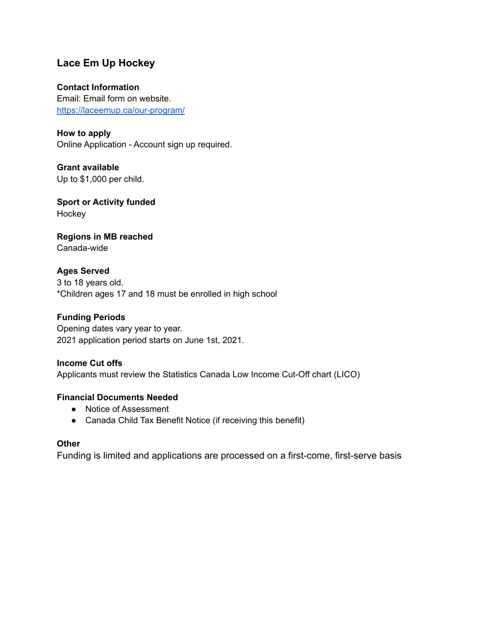# <span id="page-10-0"></span>**Lace Em Up Hockey**

### **Contact Information**

Email: Email form on website. <https://laceemup.ca/our-program/>

**How to apply** Online Application - Account sign up required.

**Grant available** Up to \$1,000 per child.

**Sport or Activity funded Hockey** 

**Regions in MB reached** Canada-wide

**Ages Served** 3 to 18 years old. \*Children ages 17 and 18 must be enrolled in high school

## **Funding Periods**

Opening dates vary year to year. 2021 application period starts on June 1st, 2021.

### **Income Cut offs**

Applicants must review the Statistics Canada Low Income Cut-Off chart (LICO)

### **Financial Documents Needed**

- Notice of Assessment
- Canada Child Tax Benefit Notice (if receiving this benefit)

### **Other**

Funding is limited and applications are processed on a first-come, first-serve basis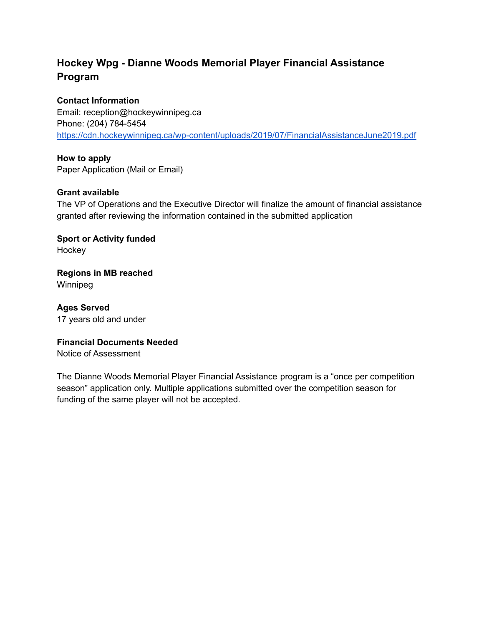# <span id="page-11-0"></span>**Hockey Wpg - Dianne Woods Memorial Player Financial Assistance Program**

### **Contact Information**

Email: reception@hockeywinnipeg.ca Phone: (204) 784-5454 <https://cdn.hockeywinnipeg.ca/wp-content/uploads/2019/07/FinancialAssistanceJune2019.pdf>

### **How to apply**

Paper Application (Mail or Email)

### **Grant available**

The VP of Operations and the Executive Director will finalize the amount of financial assistance granted after reviewing the information contained in the submitted application

**Sport or Activity funded** Hockey

**Regions in MB reached** Winnipeg

**Ages Served** 17 years old and under

### **Financial Documents Needed**

Notice of Assessment

The Dianne Woods Memorial Player Financial Assistance program is a "once per competition season" application only. Multiple applications submitted over the competition season for funding of the same player will not be accepted.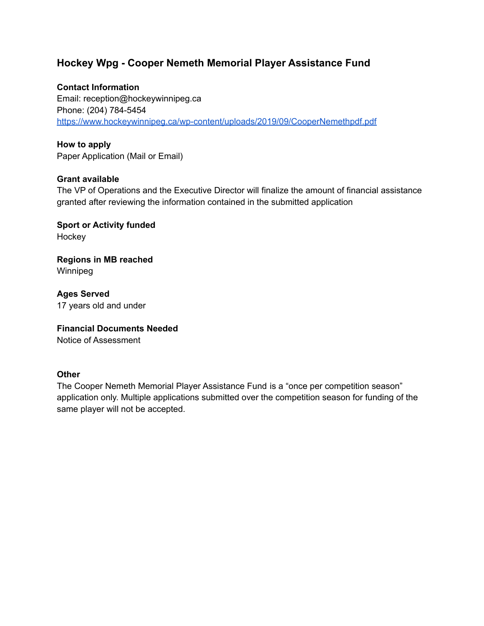# <span id="page-12-0"></span>**Hockey Wpg - Cooper Nemeth Memorial Player Assistance Fund**

### **Contact Information**

Email: reception@hockeywinnipeg.ca Phone: (204) 784-5454 <https://www.hockeywinnipeg.ca/wp-content/uploads/2019/09/CooperNemethpdf.pdf>

### **How to apply**

Paper Application (Mail or Email)

### **Grant available**

The VP of Operations and the Executive Director will finalize the amount of financial assistance granted after reviewing the information contained in the submitted application

**Sport or Activity funded** Hockey

**Regions in MB reached** Winnipeg

**Ages Served** 17 years old and under

# **Financial Documents Needed**

Notice of Assessment

### **Other**

The Cooper Nemeth Memorial Player Assistance Fund is a "once per competition season" application only. Multiple applications submitted over the competition season for funding of the same player will not be accepted.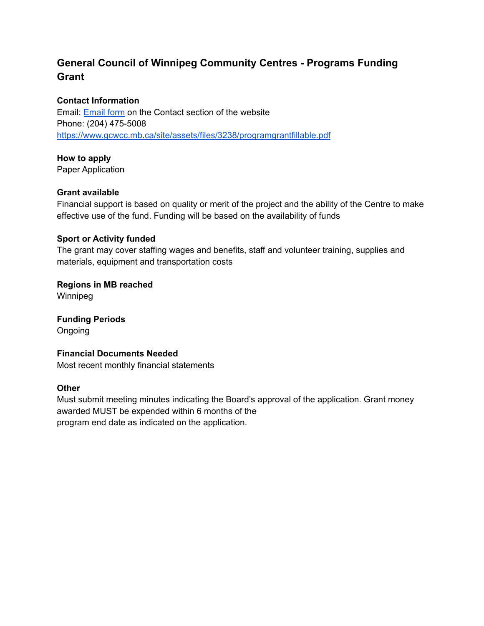# <span id="page-13-0"></span>**General Council of Winnipeg Community Centres - Programs Funding Grant**

### **Contact Information**

Email: [Email](https://www.gcwcc.mb.ca/contact/) form on the Contact section of the website Phone: (204) 475-5008 <https://www.gcwcc.mb.ca/site/assets/files/3238/programgrantfillable.pdf>

**How to apply** Paper Application

### **Grant available**

Financial support is based on quality or merit of the project and the ability of the Centre to make effective use of the fund. Funding will be based on the availability of funds

### **Sport or Activity funded**

The grant may cover staffing wages and benefits, staff and volunteer training, supplies and materials, equipment and transportation costs

**Regions in MB reached** Winnipeg

**Funding Periods** Ongoing

### **Financial Documents Needed**

Most recent monthly financial statements

### **Other**

Must submit meeting minutes indicating the Board's approval of the application. Grant money awarded MUST be expended within 6 months of the program end date as indicated on the application.